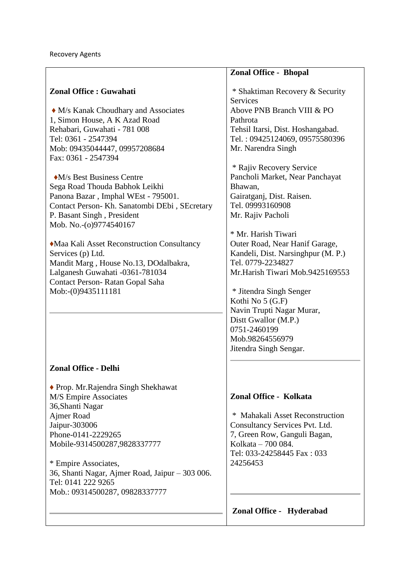|                                                                                                                                                                                                                                                                                                                                                                                                                      | <b>Zonal Office - Bhopal</b>                                                                                                                                                                                                                                                                                                                                                                           |
|----------------------------------------------------------------------------------------------------------------------------------------------------------------------------------------------------------------------------------------------------------------------------------------------------------------------------------------------------------------------------------------------------------------------|--------------------------------------------------------------------------------------------------------------------------------------------------------------------------------------------------------------------------------------------------------------------------------------------------------------------------------------------------------------------------------------------------------|
| <b>Zonal Office: Guwahati</b><br>• M/s Kanak Choudhary and Associates<br>1, Simon House, A K Azad Road<br>Rehabari, Guwahati - 781 008<br>Tel: 0361 - 2547394<br>Mob: 09435044447, 09957208684<br>Fax: 0361 - 2547394                                                                                                                                                                                                | * Shaktiman Recovery & Security<br><b>Services</b><br>Above PNB Branch VIII & PO<br>Pathrota<br>Tehsil Itarsi, Dist. Hoshangabad.<br>Tel.: 09425124069, 09575580396<br>Mr. Narendra Singh                                                                                                                                                                                                              |
| •M/s Best Business Centre<br>Sega Road Thouda Babhok Leikhi<br>Panona Bazar, Imphal WEst - 795001.<br>Contact Person- Kh. Sanatombi DEbi, SEcretary<br>P. Basant Singh, President<br>Mob. No.-(0)9774540167<br>• Maa Kali Asset Reconstruction Consultancy<br>Services (p) Ltd.<br>Mandit Marg, House No.13, DOdalbakra,<br>Lalganesh Guwahati -0361-781034<br>Contact Person-Ratan Gopal Saha<br>Mob:-(0)9435111181 | * Rajiv Recovery Service<br>Pancholi Market, Near Panchayat<br>Bhawan,<br>Gairatganj, Dist. Raisen.<br>Tel. 09993160908<br>Mr. Rajiv Pacholi<br>* Mr. Harish Tiwari<br>Outer Road, Near Hanif Garage,<br>Kandeli, Dist. Narsinghpur (M. P.)<br>Tel. 0779-2234827<br>Mr.Harish Tiwari Mob.9425169553<br>* Jitendra Singh Senger<br>Kothi No 5 (G.F)<br>Navin Trupti Nagar Murar,<br>Dist Gwallor (M.P.) |
|                                                                                                                                                                                                                                                                                                                                                                                                                      | 0751-2460199<br>Mob.98264556979<br>Jitendra Singh Sengar.                                                                                                                                                                                                                                                                                                                                              |
| <b>Zonal Office - Delhi</b><br>◆ Prop. Mr. Rajendra Singh Shekhawat<br>M/S Empire Associates<br>36, Shanti Nagar<br>Ajmer Road<br>Jaipur-303006<br>Phone-0141-2229265<br>Mobile-9314500287,9828337777<br>* Empire Associates,<br>36, Shanti Nagar, Ajmer Road, Jaipur - 303 006.<br>Tel: 0141 222 9265<br>Mob.: 09314500287, 09828337777                                                                             | Zonal Office - Kolkata<br>* Mahakali Asset Reconstruction<br>Consultancy Services Pvt. Ltd.<br>7, Green Row, Ganguli Bagan,<br>Kolkata - 700 084.<br>Tel: 033-24258445 Fax: 033<br>24256453                                                                                                                                                                                                            |
|                                                                                                                                                                                                                                                                                                                                                                                                                      | Zonal Office - Hyderabad                                                                                                                                                                                                                                                                                                                                                                               |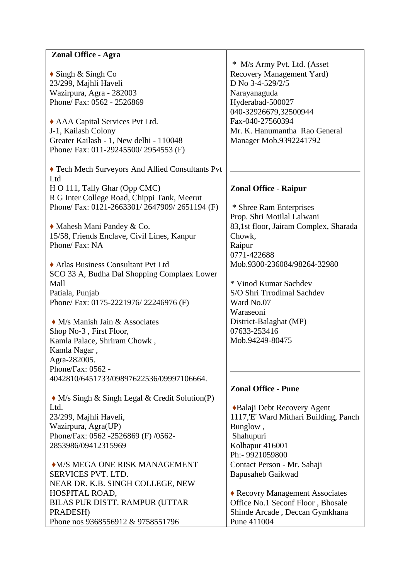## **Zonal Office - Agra**

**♦** Singh & Singh Co 23/299, Majhli Haveli Wazirpura, Agra - 282003 Phone/ Fax: 0562 - 2526869

**♦** AAA Capital Services Pvt Ltd. J-1, Kailash Colony Greater Kailash - 1, New delhi - 110048 Phone/ Fax: 011-29245500/ 2954553 (F)

**♦** Tech Mech Surveyors And Allied Consultants Pvt Ltd H O 111, Tally Ghar (Opp CMC) R G Inter College Road, Chippi Tank, Meerut Phone/ Fax: 0121-2663301/ 2647909/ 2651194 (F)

**♦** Mahesh Mani Pandey & Co. 15/58, Friends Enclave, Civil Lines, Kanpur Phone/ Fax: NA

**♦** Atlas Business Consultant Pvt Ltd SCO 33 A, Budha Dal Shopping Complaex Lower Mall Patiala, Punjab Phone/ Fax: 0175-2221976/ 22246976 (F)

**♦** M/s Manish Jain & Associates Shop No-3 , First Floor, Kamla Palace, Shriram Chowk , Kamla Nagar , Agra-282005. Phone/Fax: 0562 - 4042810/6451733/09897622536/09997106664.

**♦** M/s Singh & Singh Legal & Credit Solution(P) Ltd. 23/299, Majhli Haveli, Wazirpura, Agra(UP) Phone/Fax: 0562 -2526869 (F) /0562-

2853986/09412315969 **♦**M/S MEGA ONE RISK MANAGEMENT SERVICES PVT. LTD. NEAR DR. K.B. SINGH COLLEGE, NEW HOSPITAL ROAD, BILAS PUR DISTT. RAMPUR (UTTAR PRADESH)

Phone nos 9368556912 & 9758551796

\* M/s Army Pvt. Ltd. (Asset Recovery Management Yard) D No 3-4-529/2/5 Narayanaguda Hyderabad-500027 040-32926679,32500944 Fax-040-27560394 Mr. K. Hanumantha Rao General Manager Mob.9392241792

## **Zonal Office - Raipur**

\* Shree Ram Enterprises Prop. Shri Motilal Lalwani 83,1st floor, Jairam Complex, Sharada Chowk, Raipur 0771-422688 Mob.9300-236084/98264-32980

\* Vinod Kumar Sachdev S/O Shri Trrodimal Sachdev Ward No.07 Waraseoni District-Balaghat (MP) 07633-253416 Mob.94249-80475

## **Zonal Office - Pune**

**♦**Balaji Debt Recovery Agent 1117,'E' Ward Mithari Building, Panch Bunglow , Shahupuri Kolhapur 416001 Ph:- 9921059800 Contact Person - Mr. Sahaji Bapusaheb Gaikwad

**♦** Recovry Management Associates Office No.1 Seconf Floor , Bhosale Shinde Arcade , Deccan Gymkhana Pune 411004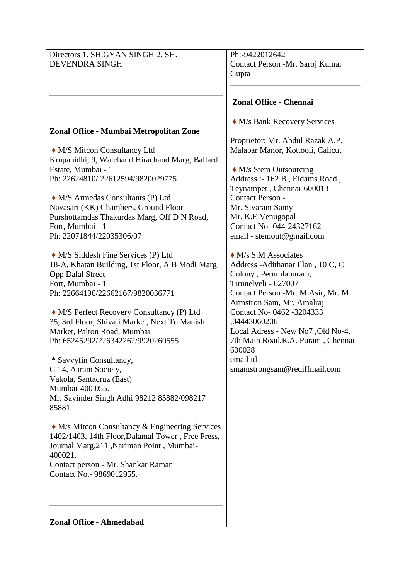| Directors 1. SH.GYAN SINGH 2. SH.                         | Ph:-9422012642                                                 |
|-----------------------------------------------------------|----------------------------------------------------------------|
| <b>DEVENDRA SINGH</b>                                     | Contact Person -Mr. Saroj Kumar                                |
|                                                           | Gupta                                                          |
|                                                           | <b>Zonal Office - Chennai</b>                                  |
|                                                           |                                                                |
| Zonal Office - Mumbai Metropolitan Zone                   | • M/s Bank Recovery Services                                   |
|                                                           | Proprietor: Mr. Abdul Razak A.P.                               |
| • M/S Mitcon Consultancy Ltd                              | Malabar Manor, Kottooli, Calicut                               |
| Krupanidhi, 9, Walchand Hirachand Marg, Ballard           |                                                                |
| Estate, Mumbai - 1                                        | $\bullet$ M/s Stem Outsourcing                                 |
| Ph: 22624810/22612594/9820029775                          | Address :- 162 B, Eldams Road,                                 |
|                                                           | Teynampet, Chennai-600013                                      |
| • M/S Armedas Consultants (P) Ltd                         | Contact Person -                                               |
| Navasari (KK) Chambers, Ground Floor                      | Mr. Sivaram Samy                                               |
| Purshottamdas Thakurdas Marg, Off D N Road,               | Mr. K.E Venugopal                                              |
| Fort, Mumbai - 1                                          | Contact No- 044-24327162                                       |
| Ph: 22071844/22035306/07                                  | email - stemout@gmail.com                                      |
| • M/S Siddesh Fine Services (P) Ltd                       | $\bullet$ M/s S.M Associates                                   |
| 18-A, Khatan Building, 1st Floor, A B Modi Marg           | Address - Adithanar Illan, 10 C, C                             |
| <b>Opp Dalal Street</b>                                   | Colony, Perumlapuram,                                          |
| Fort, Mumbai - 1                                          | Tirunelveli - 627007                                           |
| Ph: 22664196/22662167/9820036771                          | Contact Person -Mr. M Asir, Mr. M<br>Armstron Sam, Mr, Amalraj |
| • M/S Perfect Recovery Consultancy (P) Ltd                | Contact No- 0462 -3204333                                      |
| 35, 3rd Floor, Shivaji Market, Next To Manish             | ,04443060206                                                   |
| Market, Palton Road, Mumbai                               | Local Adress - New No7 , Old No-4,                             |
| Ph: 65245292/226342262/9920260555                         | 7th Main Road, R.A. Puram, Chennai-<br>600028                  |
| * Savvyfin Consultancy,                                   | email id-                                                      |
| C-14, Aaram Society,                                      | smamstrongsam@rediffmail.com                                   |
| Vakola, Santacruz (East)                                  |                                                                |
| Mumbai-400 055.                                           |                                                                |
| Mr. Savinder Singh Adhi 98212 85882/098217                |                                                                |
| 85881                                                     |                                                                |
| $\triangle$ M/s Mitcon Consultancy & Engineering Services |                                                                |
| 1402/1403, 14th Floor, Dalamal Tower, Free Press,         |                                                                |
| Journal Marg, 211, Nariman Point, Mumbai-<br>400021.      |                                                                |
| Contact person - Mr. Shankar Raman                        |                                                                |
| Contact No. - 9869012955.                                 |                                                                |
|                                                           |                                                                |
|                                                           |                                                                |
| Zonal Office - Ahmedabad                                  |                                                                |